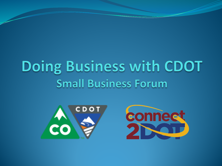## Doing Business with CDOT **Small Business Forum**



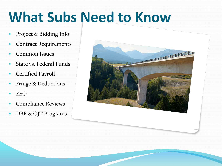# **What Subs Need to Know**

- Project & Bidding Info
- **Contract Requirements**
- Common Issues
- State vs. Federal Funds
- Certified Payroll
- Fringe & Deductions
- EEO
- Compliance Reviews
- DBE & OJT Programs

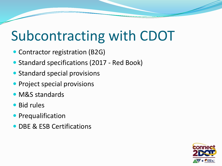# Subcontracting with CDOT

- Contractor registration (B2G)
- Standard specifications (2017 Red Book)
- Standard special provisions
- Project special provisions
- M&S standards
- Bid rules
- **Prequalification**
- DBE & ESB Certifications

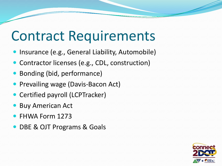#### Contract Requirements

- **Insurance (e.g., General Liability, Automobile)**
- Contractor licenses (e.g., CDL, construction)
- Bonding (bid, performance)
- Prevailing wage (Davis-Bacon Act)
- Certified payroll (LCPTracker)
- **Buy American Act**
- FHWA Form 1273
- DBE & OJT Programs & Goals

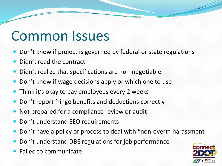#### Common Issues

- Don't know if project is governed by federal or state regulations
- Didn't read the contract
- Didn't realize that specifications are non-negotiable
- Don't know if wage decisions apply or which one to use
- Think it's okay to pay employees every 2 weeks
- Don't report fringe benefits and deductions correctly
- Not prepared for a compliance review or audit
- Don't understand EEO requirements
- Don't have a policy or process to deal with "non-overt" harassment
- Don't understand DBE regulations for job performance
- Failed to communicate

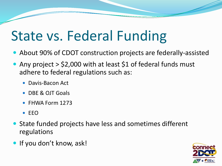# State vs. Federal Funding

- About 90% of CDOT construction projects are federally-assisted
- Any project > \$2,000 with at least \$1 of federal funds must adhere to federal regulations such as:
	- Davis-Bacon Act
	- DBE & OJT Goals
	- FHWA Form 1273
	- $\bullet$  FFO
- State funded projects have less and sometimes different regulations
- If you don't know, ask!

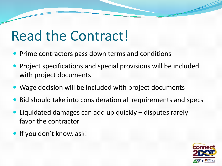### Read the Contract!

- Prime contractors pass down terms and conditions
- **Project specifications and special provisions will be included** with project documents
- Wage decision will be included with project documents
- Bid should take into consideration all requirements and specs
- Liquidated damages can add up quickly disputes rarely favor the contractor
- If you don't know, ask!

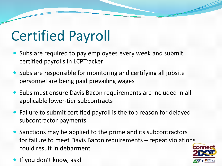# Certified Payroll

- Subs are required to pay employees every week and submit certified payrolls in LCPTracker
- Subs are responsible for monitoring and certifying all jobsite personnel are being paid prevailing wages
- Subs must ensure Davis Bacon requirements are included in all applicable lower-tier subcontracts
- Failure to submit certified payroll is the top reason for delayed subcontractor payments
- Sanctions may be applied to the prime and its subcontractors for failure to meet Davis Bacon requirements – repeat violations could result in debarment
- If you don't know, ask!

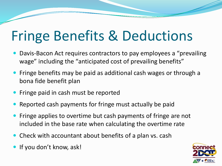# Fringe Benefits & Deductions

- Davis-Bacon Act requires contractors to pay employees a "prevailing wage" including the "anticipated cost of prevailing benefits"
- Fringe benefits may be paid as additional cash wages or through a bona fide benefit plan
- Fringe paid in cash must be reported
- Reported cash payments for fringe must actually be paid
- Fringe applies to overtime but cash payments of fringe are not included in the base rate when calculating the overtime rate
- Check with accountant about benefits of a plan vs. cash
- If you don't know, ask!

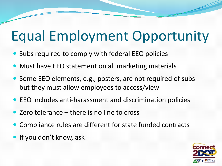# Equal Employment Opportunity

- Subs required to comply with federal EEO policies
- Must have EEO statement on all marketing materials
- Some EEO elements, e.g., posters, are not required of subs but they must allow employees to access/view
- EEO includes anti-harassment and discrimination policies
- Zero tolerance there is no line to cross
- Compliance rules are different for state funded contracts
- If you don't know, ask!

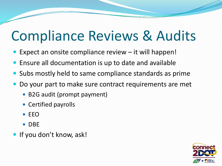## Compliance Reviews & Audits

- Expect an onsite compliance review it will happen!
- Ensure all documentation is up to date and available
- Subs mostly held to same compliance standards as prime
- Do your part to make sure contract requirements are met
	- B2G audit (prompt payment)
	- Certified payrolls
	- $\bullet$  FFO
	- DBE
- If you don't know, ask!

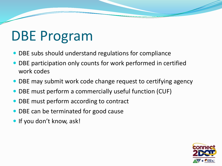# DBE Program

- DBE subs should understand regulations for compliance
- DBE participation only counts for work performed in certified work codes
- DBE may submit work code change request to certifying agency
- DBE must perform a commercially useful function (CUF)
- DBE must perform according to contract
- DBE can be terminated for good cause
- If you don't know, ask!

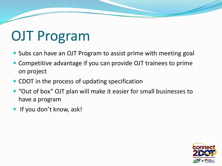# OJT Program

- Subs can have an OJT Program to assist prime with meeting goal
- Competitive advantage if you can provide OJT trainees to prime on project
- CDOT in the process of updating specification
- "Out of box" OJT plan will make it easier for small businesses to have a program
- If you don't know, ask!

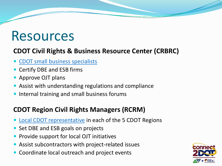#### Resources

#### **CDOT Civil Rights & Business Resource Center (CRBRC)**

- [CDOT small business specialists](http://www.coloradodot.info/business/civilrights)
- Certify DBE and ESB firms
- Approve OJT plans
- Assist with understanding regulations and compliance
- Internal training and small business forums

#### **CDOT Region Civil Rights Managers (RCRM)**

- [Local CDOT representative](http://www.connect2dot.org/stay-connected/cdot-rcrm) in each of the 5 CDOT Regions
- Set DBE and ESB goals on projects
- Provide support for local OJT initiatives
- Assist subcontractors with project-related issues
- Coordinate local outreach and project events

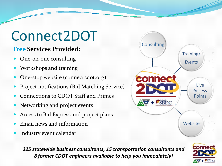## Connect2DOT

#### **Free Services Provided:**

- One-on-one consulting
- Workshops and training
- One-stop website (connect2dot.org)
- Project notifications (Bid Matching Service)
- Connections to CDOT Staff and Primes
- Networking and project events
- Access to Bid Express and project plans
- Email news and information
- Industry event calendar



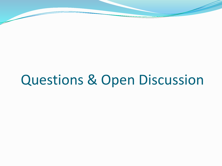# Questions & Open Discussion